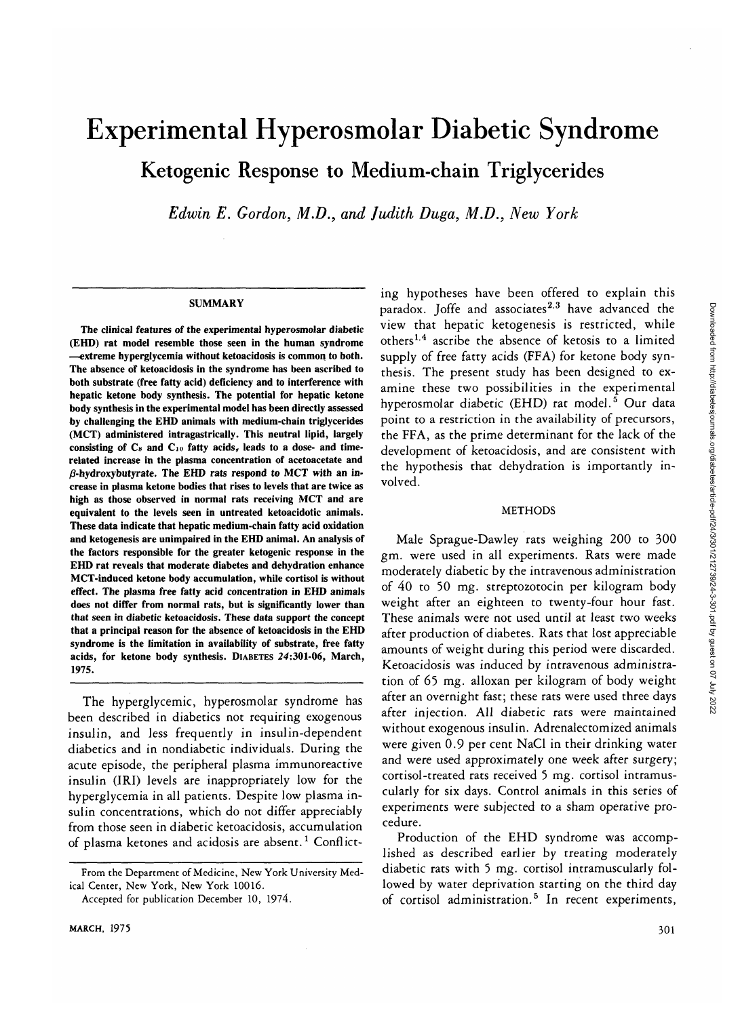# Experimental Hyperosmolar Diabetic Syndrome Ketogenic Response to Medium-chain Triglycerides

*Edwin E. Gordon, M.D., and Judith Duga, M.D., New York*

#### **SUMMARY**

**The clinical features of the experimental hyperosmolar diabetic (EHD) rat model resemble those seen in the human syndrome —extreme hyperglycemia without ketoacidosis is common to both. The absence of ketoacidosis in the syndrome has been ascribed to both substrate (free fatty acid) deficiency and to interference with hepatic ketone body synthesis. The potential for hepatic ketone body synthesis in the experimental model has been directly assessed by challenging the EHD animals with medium-chain triglycerides (MCT) administered intragastrically. This neutral lipid, largely consisting of Cs and Cio fatty acids, leads to a dose- and timerelated increase in the plasma concentration of acetoacetate and /3-hydroxybutyrate. The EHD rats respond to MCT with an increase in plasma ketone bodies that rises to levels that are twice as high as those observed in normal rats receiving MCT and are equivalent to the levels seen in untreated ketoacidotic animals. These data indicate that hepatic medium-chain fatty acid oxidation and ketogenesis are unimpaired in the EHD animal. An analysis of the factors responsible for the greater ketogenic response in the EHD rat reveals that moderate diabetes and dehydration enhance MCT-induced ketone body accumulation, while cortisol is without effect. The plasma free fatty acid concentration in EHD animals does not differ from normal rats, but is significantly lower than that seen in diabetic ketoacidosis. These data support the concept that a principal reason for the absence of ketoacidosis in the EHD syndrome is the limitation in availability of substrate, free fatty acids, for ketone body synthesis. DIABETES 24:301-06, March, 1975.**

The hyperglycemic, hyperosmolar syndrome has been described in diabetics not requiring exogenous insulin, and less frequently in insulin-dependent diabetics and in nondiabetic individuals. During the acute episode, the peripheral plasma immunoreactive insulin (IRI) levels are inappropriately low for the hyperglycemia in all patients. Despite low plasma insulin concentrations, which do not differ appreciably from those seen in diabetic ketoacidosis, accumulation of plasma ketones and acidosis are absent.<sup>1</sup> Conflicting hypotheses have been offered to explain this paradox. Joffe and associates<sup>2,3</sup> have advanced the view that hepatic ketogenesis is restricted, while others<sup>1,4</sup> ascribe the absence of ketosis to a limited supply of free fatty acids (FFA) for ketone body synthesis. The present study has been designed to examine these two possibilities in the experimental hyperosmolar diabetic (EHD) rat model.<sup>5</sup> Our data point to a restriction in the availability of precursors, the FFA, as the prime determinant for the lack of the development of ketoacidosis, and are consistent with the hypothesis that dehydration is importantly involved.

# METHODS

Male Sprague-Dawley rats weighing 200 to 300 gm. were used in all experiments. Rats were made moderately diabetic by the intravenous administration of 40 to 50 mg. streptozotocin per kilogram body weight after an eighteen to twenty-four hour fast. These animals were not used until at least two weeks after production of diabetes. Rats that lost appreciable amounts of weight during this period were discarded. Ketoacidosis was induced by intravenous administration of 65 mg. alloxan per kilogram of body weight after an overnight fast; these rats were used three days after injection. All diabetic rats were maintained without exogenous insulin. Adrenalectomized animals were given 0.9 per cent NaCl in their drinking water and were used approximately one week after surgery; cortisol-treated rats received 5 mg. cortisol intramuscularly for six days. Control animals in this series of experiments were subjected to a sham operative procedure.

Production of the EHD syndrome was accomplished as described earlier by treating moderately diabetic rats with 5 mg. cortisol intramuscularly followed by water deprivation starting on the third day of cortisol administration.<sup>5</sup> In recent experiments,

**From the Department of Medicine, New York University Medical Center, New York, New York 10016.**

**Accepted for publication December 10, 1974.**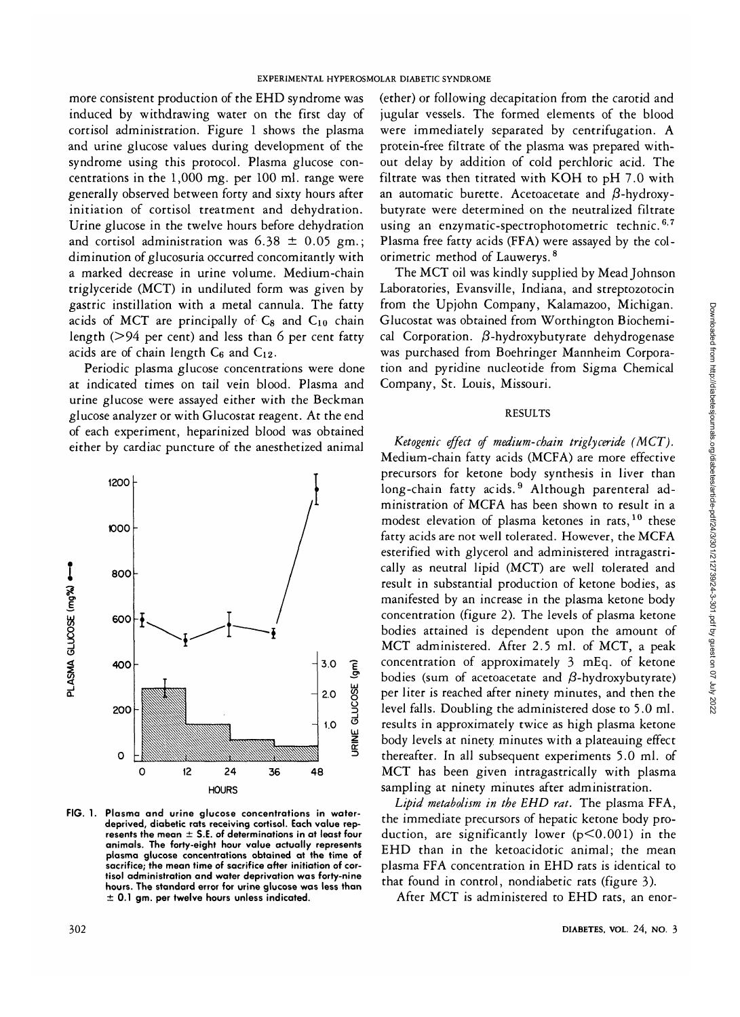more consistent production of the EHD syndrome was induced by withdrawing water on the first day of cortisol administration. Figure 1 shows the plasma and urine glucose values during development of the syndrome using this protocol. Plasma glucose concentrations in the 1,000 mg. per 100 ml. range were generally observed between forty and sixty hours after initiation of cortisol treatment and dehydration. Urine glucose in the twelve hours before dehydration and cortisol administration was  $6.38 \pm 0.05$  gm.; diminution of glucosuria occurred concomitantly with a marked decrease in urine volume. Medium-chain triglyceride (MCT) in undiluted form was given by gastric instillation with a metal cannula. The fatty acids of MCT are principally of  $C_8$  and  $C_{10}$  chain length ( $>94$  per cent) and less than 6 per cent fatty acids are of chain length  $C_6$  and  $C_{12}$ .

Periodic plasma glucose concentrations were done at indicated times on tail vein blood. Plasma and urine glucose were assayed either with the Beckman glucose analyzer or with Glucostat reagent. At the end of each experiment, heparinized blood was obtained either by cardiac puncture of the anesthetized animal



FIG. 1. **Plasma and urine glucose concentrations in waterdeprived, diabetic rats receiving cortisol. Each value represents the mean ± S.E. of determinations in at least four animals. The forty-eight hour value actually represents plasma glucose concentrations obtained at the time of sacrifice; the mean time of sacrifice after initiation of cortisol administration and water deprivation was forty-nine hours. The standard error for urine glucose was less than ± 0.1 gm. per twelve hours unless indicated.**

(ether) or following decapitation from the carotid and jugular vessels. The formed elements of the blood were immediately separated by centrifugation. A protein-free filtrate of the plasma was prepared without delay by addition of cold perchloric acid. The filtrate was then titrated with KOH to pH 7.0 with an automatic burette. Acetoacetate and  $\beta$ -hydroxybutyrate were determined on the neutralized filtrate using an enzymatic-spectrophotometric technic.<sup>6,7</sup> Plasma free fatty acids (FFA) were assayed by the colorimetric method of Lauwerys.<sup>8</sup>

The MCT oil was kindly supplied by Mead Johnson Laboratories, Evansville, Indiana, and streptozotocin from the Upjohn Company, Kalamazoo, Michigan. Glucostat was obtained from Worthington Biochemical Corporation.  $\beta$ -hydroxybutyrate dehydrogenase was purchased from Boehringer Mannheim Corporation and pyridine nucleotide from Sigma Chemical Company, St. Louis, Missouri.

# RESULTS

*Ketogenic effect of medium-chain triglyceride (MCT).* Medium-chain fatty acids (MCFA) are more effective precursors for ketone body synthesis in liver than long-chain fatty acids.<sup>9</sup> Although parenteral administration of MCFA has been shown to result in a modest elevation of plasma ketones in rats,<sup>10</sup> these fatty acids are not well tolerated. However, the MCFA esterified with glycerol and administered intragastrically as neutral lipid (MCT) are well tolerated and result in substantial production of ketone bodies, as manifested by an increase in the plasma ketone body concentration (figure 2). The levels of plasma ketone bodies attained is dependent upon the amount of MCT administered. After 2.5 ml. of MCT, a peak concentration of approximately 3 mEq. of ketone bodies (sum of acetoacetate and  $\beta$ -hydroxybutyrate) per liter is reached after ninety minutes, and then the level falls. Doubling the administered dose to 5.0 ml. results in approximately twice as high plasma ketone body levels at ninety minutes with a plateauing effect thereafter. In all subsequent experiments 5.0 ml. of MCT has been given intragastrically with plasma sampling at ninety minutes after administration.

*Lipid metabolism in the EHD rat.* The plasma FFA, the immediate precursors of hepatic ketone body production, are significantly lower  $(p<0.001)$  in the EHD than in the ketoacidotic animal; the mean plasma FFA concentration in EHD rats is identical to that found in control, nondiabetic rats (figure 3).

After MCT is administered to EHD rats, an enor-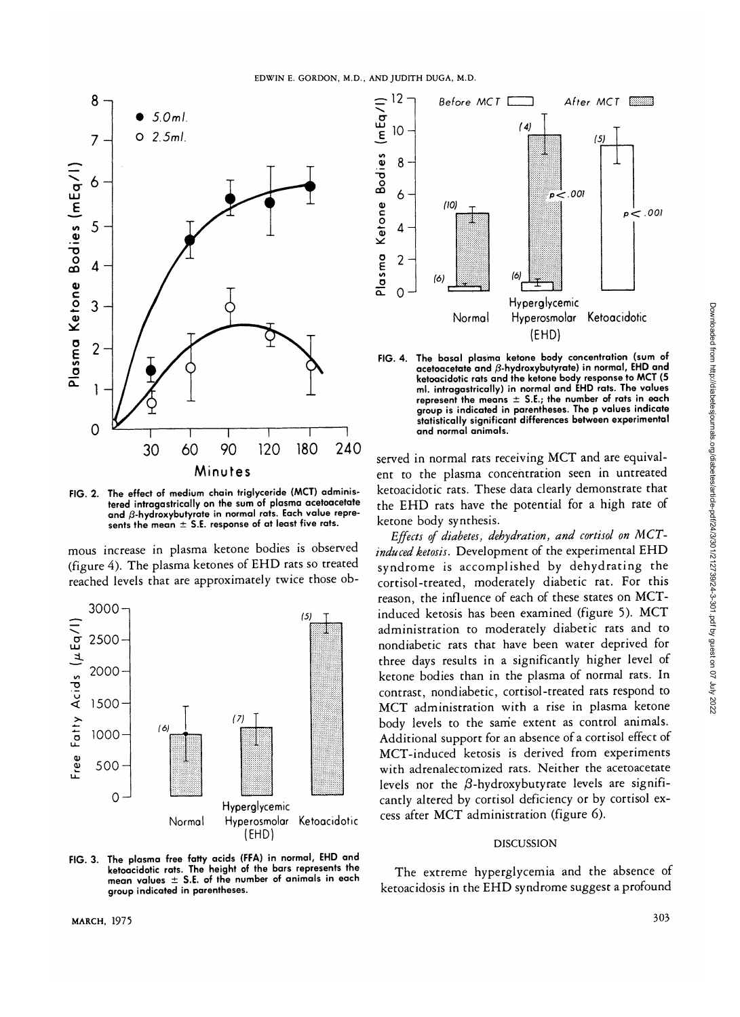

tered intragastrically on the sum of plasma acetoacetate and  $\beta$ -hydroxybutyrate in normal rats. Each value repreand private *x* but in normal rate can be represented. **sents the mean ± S.E. response of at least five rats.**

mous increase in plasma ketone bodies is observed (figure 4). The plasma ketones of EHD rats so treated reached levels that are approximately twice those ob-



**FIG. 3. The plasma free fatty acids (FFA) in normal, EHD and** mean values  $\pm$  S.E. of the number of animals in each group indicated in parentheses. **group indicated in parentheses.**



**FIG. 4. The basal plasma ketone body concentration (sum of acetoacetate and /3-hydroxybutyrate) in normal, EHD and ketoacidotic rats and the ketone body response to MCT (5 ml. intragastrically) in normal and EHD rats. The values represent the means ± S.E.; the number of rats in each group is indicated in parentheses. The p values indicate statistically significant differences between experimental and normal animals.**

served in normal rats receiving MCT and are equivalent to the plasma concentration seen in untreated ketoacidotic rats. These data clearly demonstrate that the EHD rats have the potential for a high rate of ketone body synthesis.

*Effects of diabetes, dehydration, and cortisol on MCTinduced ketosis.* Development of the experimental EHD syndrome is accomplished by dehydrating the cortisol-treated, moderately diabetic rat. For this reason, the influence of each of these states on MCTinduced ketosis has been examined (figure 5). MCT administration to moderately diabetic rats and to nondiabetic rats that have been water deprived for three days results in a significantly higher level of ketone bodies than in the plasma of normal rats. In contrast, nondiabetic, cortisol-treated rats respond to MCT administration with a rise in plasma ketone body levels to the same extent as control animals. Additional support for an absence of a cortisol effect of MCT-induced ketosis is derived from experiments with adrenalectomized rats. Neither the acetoacetate levels nor the  $\beta$ -hydroxybutyrate levels are significantly altered by cortisol deficiency or by cortisol excess after MCT administration (figure 6).

# DISCUSSION

The extreme hyperglycemia and the absence of ketoacidosis in the EHD syndrome suggest a profound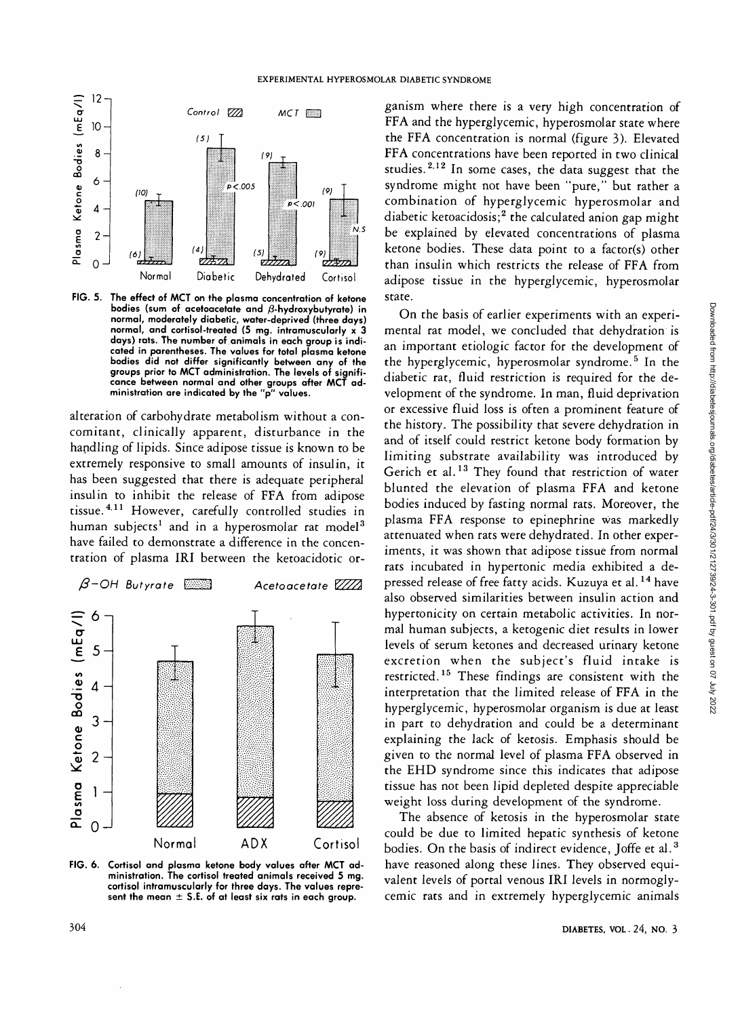

**FIG. 5. The effect of MCT on the plasma concentration of ketone bodies (sum of acetoacetate and /3-hydroxybutyrate) in normal, moderately diabetic, water-deprived (three days) normal, and cortisol-treated (5 mg. intramuscularly x 3 days) rats. The number of animals in each group is indicated in parentheses. The values for total plasma ketone bodies did not differ significantly between any of the groups prior to MCT administration. The levels of significance between normal and other groups after MCT administration are indicated by the "p" values.**

alteration of carbohydrate metabolism without a concomitant, clinically apparent, disturbance in the handling of lipids. Since adipose tissue is known to be extremely responsive to small amounts of insulin, it has been suggested that there is adequate peripheral insulin to inhibit the release of FFA from adipose tissue.<sup>4,11</sup> However, carefully controlled studies in human subjects $^1$  and in a hyperosmolar rat model $^3$ have failed to demonstrate a difference in the concentration of plasma IRI between the ketoacidotic or-



**FIG. 6. Cortisol and plasma ketone body values after MCT administration. The cortisol treated animals received 5 mg. cortisol intramuscularly for three days. The values represent the mean ± S.E. of at least six rats in each group.**

ganism where there is a very high concentration of FFA and the hyperglycemic, hyperosmolar state where the FFA concentration is normal (figure 3). Elevated FFA concentrations have been reported in two clinical studies.<sup>2,12</sup> In some cases, the data suggest that the syndrome might not have been "pure," but rather a combination of hyperglycemic hyperosmolar and diabetic ketoacidosis;<sup>2</sup> the calculated anion gap might be explained by elevated concentrations of plasma ketone bodies. These data point to a factor(s) other than insulin which restricts the release of FFA from adipose tissue in the hyperglycemic, hyperosmolar state.

On the basis of earlier experiments with an experimental rat model, we concluded that dehydration is an important etiologic factor for the development of the hyperglycemic, hyperosmolar syndrome.<sup>5</sup> In the diabetic rat, fluid restriction is required for the development of the syndrome. In man, fluid deprivation or excessive fluid loss is often a prominent feature of the history. The possibility that severe dehydration in and of itself could restrict ketone body formation by limiting substrate availability was introduced by Gerich et al.<sup>13</sup> They found that restriction of water blunted the elevation of plasma FFA and ketone bodies induced by fasting normal rats. Moreover, the plasma FFA response to epinephrine was markedly attenuated when rats were dehydrated. In other experiments, it was shown that adipose tissue from normal rats incubated in hypertonic media exhibited a depressed release of free fatty acids. Kuzuya et al.<sup>14</sup> have also observed similarities between insulin action and hypertonicity on certain metabolic activities. In normal human subjects, a ketogenic diet results in lower levels of serum ketones and decreased urinary ketone excretion when the subject's fluid intake is exerction when the subject's fiuld fiture is interpretation that the limited release of FFA in the hyperglycemic, hyperosmolar organism is due at least in part to dehydration and could be a determinant explaining the lack of ketosis. Emphasis should be given to the normal level of plasma FFA observed in the EHD syndrome since this indicates that adipose tissue has not been lipid depleted despite appreciable weight loss during development of the syndrome.

The absence of ketosis in the hyperosmolar state could be due to limited hepatic synthesis of ketone bodies. On the basis of indirect evidence, Joffe et al.<sup>3</sup> have reasoned along these lines. They observed equivalent levels of portal venous IRI levels in normoglycemic rats and in extremely hyperglycemic animals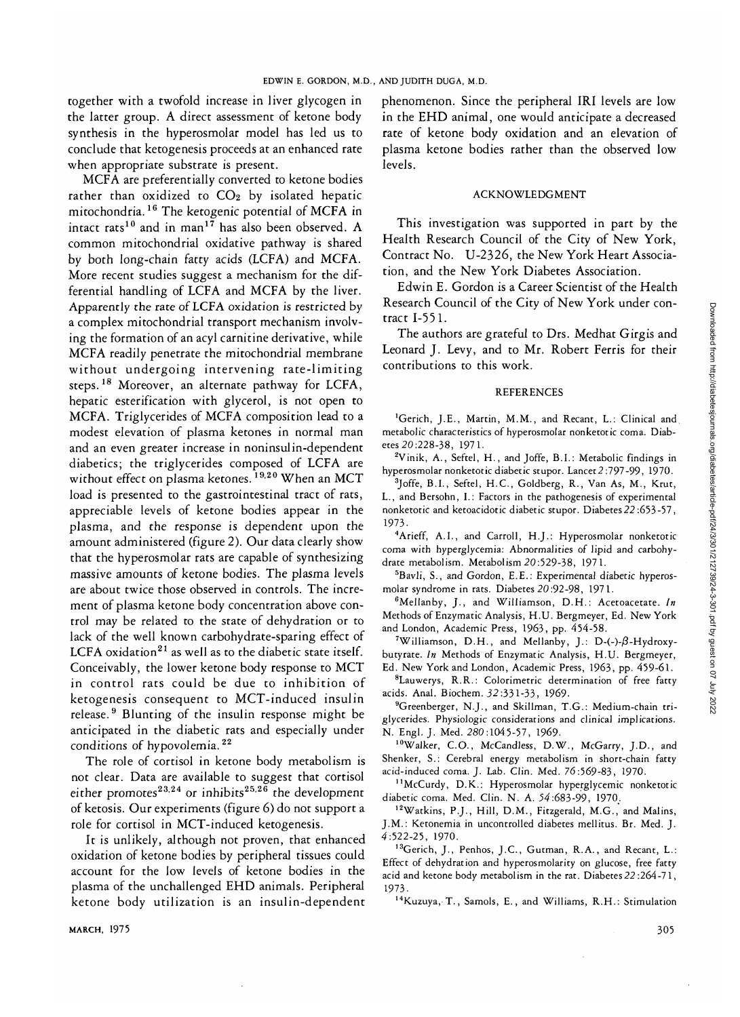together with a twofold increase in liver glycogen in the latter group. A direct assessment of ketone body synthesis in the hyperosmolar model has led us to conclude that ketogenesis proceeds at an enhanced rate when appropriate substrate is present.

MCFA are preferentially converted to ketone bodies rather than oxidized to CO<sub>2</sub> by isolated hepatic mitochondria.<sup>16</sup> The ketogenic potential of MCFA in intact rats<sup>10</sup> and in man<sup>17</sup> has also been observed. A common mitochondrial oxidative pathway is shared by both long-chain fatty acids (LCFA) and MCFA. More recent studies suggest a mechanism for the differential handling of LCFA and MCFA by the liver. Apparently the rate of LCFA oxidation is restricted by a complex mitochondrial transport mechanism involving the formation of an acyl carnitine derivative, while MCFA readily penetrate the mitochondrial membrane without undergoing intervening rate-limiting steps.<sup>18</sup> Moreover, an alternate pathway for LCFA, hepatic esterification with glycerol, is not open to MCFA. Triglycerides of MCFA composition lead to a modest elevation of plasma ketones in normal man and an even greater increase in noninsulin-dependent diabetics; the triglycerides composed of LCFA are without effect on plasma ketones.<sup>19,20</sup> When an MCT load is presented to the gastrointestinal tract of rats, appreciable levels of ketone bodies appear in the plasma, and the response is dependent upon the amount administered (figure 2). Our data clearly show that the hyperosmolar rats are capable of synthesizing massive amounts of ketone bodies. The plasma levels are about twice those observed in controls. The increment of plasma ketone body concentration above control may be related to the state of dehydration or to lack of the well known carbohydrate-sparing effect of rack of the well known carbonydiate-sparing effect of Conceivably, the lower ketone body response to MCT in control rats could be due to inhibition of ketogenesis consequent to MCT-induced insulin release.<sup>9</sup> Blunting of the insulin response might be rerease. Brunting or the msumi response might be anticipated in the diabetic ra

The role of cortisol in ketone body metabolism is not clear. Data are available to suggest that cortisol either promotes $^{23,24}$  or inhibits $^{25,26}$  the development of ketosis. Our experiments (figure 6) do not support a role for cortisol in MCT-induced ketogenesis.

It is unlikely, although not proven, that enhanced oxidation of ketone bodies by peripheral tissues could account for the low levels of ketone bodies in the plasma of the unchallenged EHD animals. Peripheral ketone body utilization is an insulin-dependent

phenomenon. Since the peripheral IRI levels are low in the EHD animal, one would anticipate a decreased rate of ketone body oxidation and an elevation of plasma ketone bodies rather than the observed low levels.

### ACKNOWLEDGMENT

This investigation was supported in part by the Health Research Council of the City of New York, Contract No. U-2326, the New York Heart Association, and the New York Diabetes Association.

Edwin E. Gordon is a Career Scientist of the Health Research Council of the City of New York under contract 1-551.

The authors are grateful to Drs. Medhat Girgis and Leonard J. Levy, and to Mr. Robert Ferris for their contributions to this work.

### **REFERENCES**

'Gerich, J.E., Martin, M.M., and Recant, L.: Clinical and metabolic characteristics of hyperosmolar nonketotic coma. Diabetes 20:228-38, 1971.

<sup>2</sup>Vinik, A., Seftel, H., and Joffe, B.I.: Metabolic findings in hyperosmolar nonketotic diabetic stupor. Lancet 2 :797-99, 1970.

<sup>3</sup>Joffe, B.I., Seftel, H.C., Goldberg, R., Van As, M., Krut, L., and Bersohn, I.: Factors in the pathogenesis of experimental nonketotic and ketoacidotic diabetic stupor. Diabetes*22*:653-57, 1973.

<sup>4</sup>Arieff, A.I., and Carroll, H.J.: Hyperosmolar nonketotic coma with hyperglycemia: Abnormalities of lipid and carbohydrate metabolism. Metabolism 20:529-38, 1971.

5 Bavli, S., and Gordon, E.E.: Experimental diabetic hyperosmolar syndrome in rats. Diabetes 20:92-98, 1971.

<sup>6</sup>Mellanby, J., and Williamson, D.H.: Acetoacetate. In Methods of Enzymatic Analysis, H.U. Bergmeyer, Ed. New York and London, Academic Press, 1963, pp. 454-58.

<sup>7</sup>Williamson, D.H., and Mellanby, J.: D-(-)- $\beta$ -Hydroxybutyrate. *In* Methods of Enzymatic Analysis, H.U. Bergmeyer, Ed. New York and London, Academic Press, 1963, pp. 459-61.

<sup>8</sup>Lauwerys, R.R.: Colorimetric determination of free fatty acids. Anal. Biochem. 32:331-33, 1969-

<sup>9</sup>Greenberger, N.J., and Skillman, T.G.: Medium-chain triglycerides. Physiologic considerations and clinical implications. N. Engl. J. Med. 280:1045-57, 1969.

10Walker, C.O., McCandless, D.W., McGarry, J.D., and Shenker, S.: Cerebral energy metabolism in short-chain fatty acid-induced coma. J. Lab. Clin. Med. 76:569-83, 1970.

<sup>11</sup>McCurdy, D.K.: Hyperosmolar hyperglycemic nonketotic diabetic coma. Med. Clin. N. A. 54:683-99, 1970.

<sup>12</sup>Watkins, P.J., Hill, D.M., Fitzgerald, M.G., and Malins, J.M.: Ketonemia in uncontrolled diabetes mellitus. Br. Med. J. 4:522-25, 1970.

<sup>13</sup>Gerich, J., Penhos, J.C., Gutman, R.A., and Recant, L.: Effect of dehydration and hyperosmolarity on glucose, free fatty acid and ketone body metabolism in the rat. Diabetes*22* :264-71, 1973.

14Kuzuya, T., Samols, E., and Williams, R.H.: Stimulation

MARCH, 1975 305